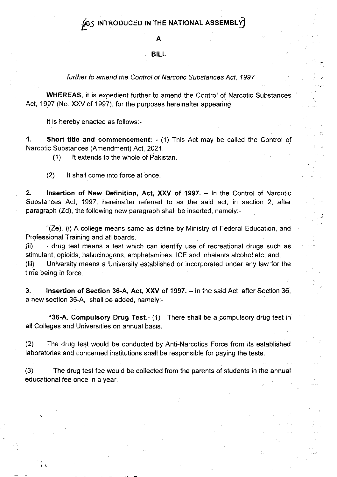#### A

### BILL

#### further to amend the Control of Narcotic Substances Act, 1997

WHEREAS, it is expedient further to amend the Control of Narcotic Substances Act, 1997 (No. XXV of 1997), for the purposes hereinafter appearing;

It is hereby enacted as follows:-

'1. Short title and commencement: - (1) This Act may be called the Control of Narcotic Substances (Amendment) Act, 2021.

(1) lt extends to the whole of Pakistan.

(2) lt shall come into force at once

2. **Insertion of New Definition, Act, XXV of 1997.** - In the Control of Narcotic Substances Act, 1997, hereinafter referred to as the said act, in section 2, after paragraph (Zd), the following new paragraph shall be inserted, namely:-

"(Ze). (i) A college means same as define by Ministry of Federal Education, and Professional Training and all boards.

(ii) drug test means a test which can identify use of recreational drugs such as stimulant, opioids, hallucinogens, amphetamines, ICE and inhalants alcohol etc; and, (iii) University means a University established or incorporated under any law for the time being in force.

3. Insertion of Section 36-A, Act, XXV of 1997. - In the said Act, after Section 36, a new section 36-4, shall be added, namely:-

"36-A. Compulsory Drug Test.- (1) There shall be a compulsory drug test in all Colleges and Universities on annual basis.

(2) The drug test would be conducted by Anti-Narcotics Force from its established laboratories and concerned institutions shall be responsible for paying the tests.

(3) The drug test fee would be collected from the parents of students in the annual educational fee once in a year,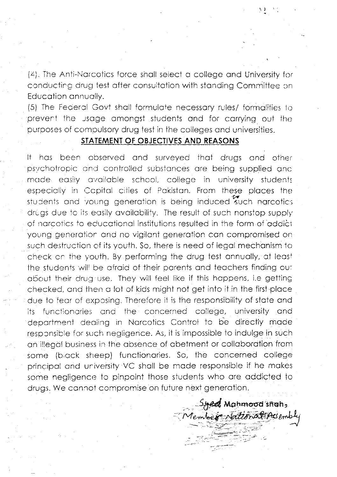(4). The Anti-Narcotics force shall select a college and University for conducting drug test after consultation with standing Committee on Education annually.

(5) The Federal Govt shall formulate necessary rules/ formalities to prevent the usage amongst students and for carrying out the purposes of compulsory drug test in the colleges and universities.

## STATEMENT OF OBJECTIVES AND REASONS

It has been observed and surveyed that drugs and other psychotropic and controlled substances are being supplied and made easily available school, college in university students especially in Capital cities of Pakistan. From these places the students and young generation is being induced such narcotics drugs due to its easily availability. The result of such nonstop supply of narcotics to educational institutions resulted in the form of addict young generation and no vigilant generation can compromised on such destruction of its youth. So, there is need of legal mechanism to check on the youth. By performing the drug test annually, at least the students will be afraid of their parents and teachers finding out about their drug use. They will feel like if this happens, i.e getting checked, and then a lot of kids might not get into it in the first place due to fear of exposing. Therefore it is the responsibility of state and functionaries and the concerned college, university and its department dealing in Narcotics Control to be directly made responsible for such negligence. As, it is impossible to indulge in such an illegal business in the absence of abetment or collaboration from some (biack sheep) functionaries. So, the concerned college principal and university VC shall be made responsible if he makes some negligence to pinpoint those students who are addicted to drugs. We cannot compromise on future next generation.

Syed Mahmood shah,<br>Member Nattonal Hesembly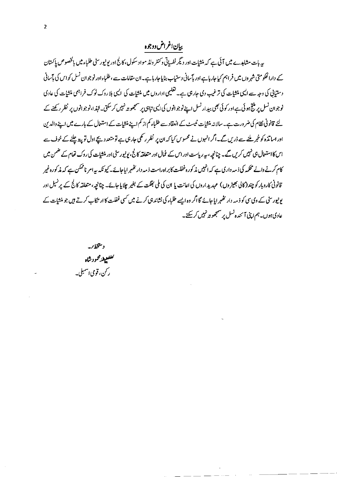# بيان اغراض دوجوه

پہ بات مشاہدے میں آئی ہے کہ منشات اور دیگر نفسیاتی وکنٹر ولڈ مواد سکول، کالج اور پونپورسٹی طلباء میں بالخصوص پاکستان کے دارالحکومتی شہر وں میں فراہم کیاجارہاہے اور پآسانی دستیاب بنایاجار ہاہے۔ان مقامات ہے ،طلباءاور نوجوان نسل کواس کی پآسانی دستیانی کی وجہ سے ایسی منش<u>ا</u>ت کی ترغیب دی جارہی ہے۔ تعلیمی اداروں میں منشات کی ایسی بلا روک ٹوک فراہمی منشات کی عادی نوجوان نسل پر منتج ہوئی ہے اور کوئی بھی بیدار نسل اپنے نوجوانوں کی ایسی تباہی پر سمجھو تہ نہیں کر سکتی۔انہزا،نوجوانوں پر نظر رکھنے کے لئے قانونی نظام کی ضرورت ہے۔ سالانہ منشیات نمیسٹ کے انعقادے طلباء کم از کم اپنے منشیات کے استعمال کے بارے میں اپنے والدین اور اساتذہ کو خبر ملنے سے ڈریں گے۔اگر انہوں نے محسوس کیا کہ ان پر نظر رکھی جارہی ہے تو متعد دیچے اول تو پیۃ چلنے کے خوف سے اس کااستعال ہی نہیں کریں گے۔ چنانچہ، بیرریاست اور اس کے عُمال اور متعلقہ کالج، یونیورسٹی اور منشیات کی روک تھام کے ضمن میں کام کرنے والے محکمہ کی ذمہ داری ہے کہ انہیں پذ کورہ غفلت کا براہ راست ذمہ دار تھٰہر ایاجائے۔کیونکہ ہیے امر ناممکن ہے کہ مذکورہ غیر قانونی کاروبار کو چند (کالی بھیڑ وں) عہدیدِ اروں کی اعانت یا ان کی ملی بھگت کے بغیر چلایا جائے۔ چنانچہ، متعلقہ کالج کے پر نسپل اور یونپورسٹی کے دی سی کو ذمہ دار تھہرایا جائے گا اگر وہ ایسے طلباء کی نشاندہی کرنے میں کسی غفلت کا ار تکاب کرتے ہیں جو منشیات کے عادی ہوں۔ہم اپنی آئندہ نسل پر سمجھوتہ نہیں کرسکتے۔

د متخطار. كملفيفرمجودشاه ر کن، قومی اسمبلی۔